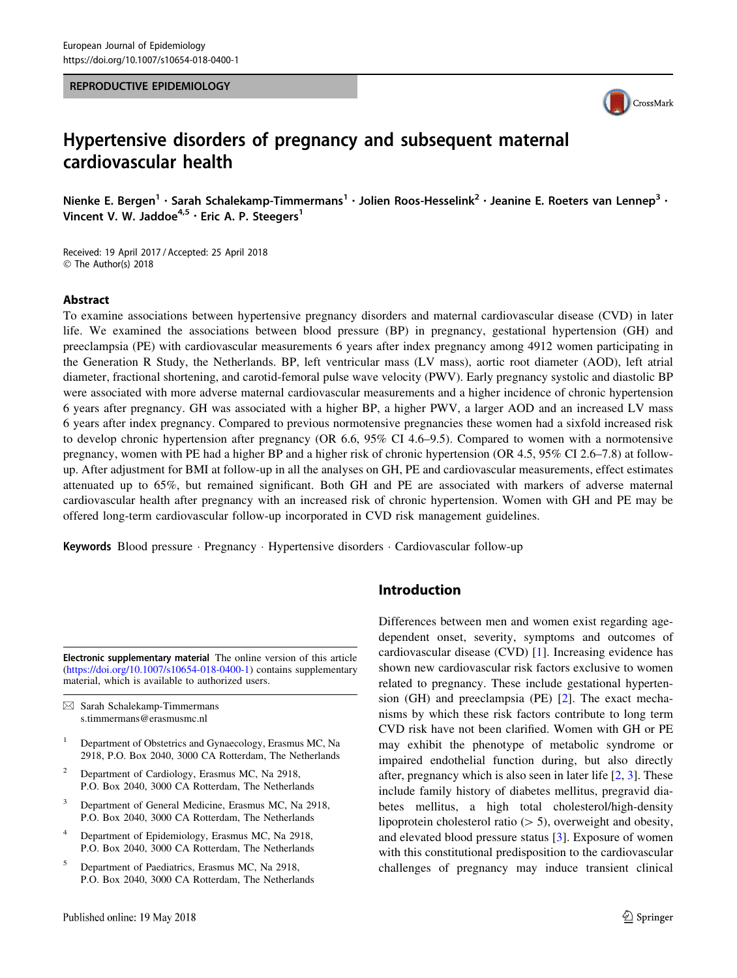#### REPRODUCTIVE EPIDEMIOLOGY



# Hypertensive disorders of pregnancy and subsequent maternal cardiovascular health

Nienke E. Bergen<sup>1</sup> · Sarah Schalekamp-Timmermans<sup>1</sup> · Jolien Roos-Hesselink<sup>2</sup> · Jeanine E. Roeters van Lennep<sup>3</sup> · Vincent V. W. Jaddoe $4,5$  · Eric A. P. Steegers<sup>1</sup>

Received: 19 April 2017 / Accepted: 25 April 2018 © The Author(s) 2018

#### Abstract

To examine associations between hypertensive pregnancy disorders and maternal cardiovascular disease (CVD) in later life. We examined the associations between blood pressure (BP) in pregnancy, gestational hypertension (GH) and preeclampsia (PE) with cardiovascular measurements 6 years after index pregnancy among 4912 women participating in the Generation R Study, the Netherlands. BP, left ventricular mass (LV mass), aortic root diameter (AOD), left atrial diameter, fractional shortening, and carotid-femoral pulse wave velocity (PWV). Early pregnancy systolic and diastolic BP were associated with more adverse maternal cardiovascular measurements and a higher incidence of chronic hypertension 6 years after pregnancy. GH was associated with a higher BP, a higher PWV, a larger AOD and an increased LV mass 6 years after index pregnancy. Compared to previous normotensive pregnancies these women had a sixfold increased risk to develop chronic hypertension after pregnancy (OR 6.6, 95% CI 4.6–9.5). Compared to women with a normotensive pregnancy, women with PE had a higher BP and a higher risk of chronic hypertension (OR 4.5, 95% CI 2.6–7.8) at followup. After adjustment for BMI at follow-up in all the analyses on GH, PE and cardiovascular measurements, effect estimates attenuated up to 65%, but remained significant. Both GH and PE are associated with markers of adverse maternal cardiovascular health after pregnancy with an increased risk of chronic hypertension. Women with GH and PE may be offered long-term cardiovascular follow-up incorporated in CVD risk management guidelines.

Keywords Blood pressure · Pregnancy · Hypertensive disorders · Cardiovascular follow-up

Electronic supplementary material The online version of this article ([https://doi.org/10.1007/s10654-018-0400-1\)](https://doi.org/10.1007/s10654-018-0400-1) contains supplementary material, which is available to authorized users.

 $\boxtimes$  Sarah Schalekamp-Timmermans s.timmermans@erasmusmc.nl

- <sup>1</sup> Department of Obstetrics and Gynaecology, Erasmus MC, Na 2918, P.O. Box 2040, 3000 CA Rotterdam, The Netherlands
- <sup>2</sup> Department of Cardiology, Erasmus MC, Na 2918, P.O. Box 2040, 3000 CA Rotterdam, The Netherlands
- <sup>3</sup> Department of General Medicine, Erasmus MC, Na 2918, P.O. Box 2040, 3000 CA Rotterdam, The Netherlands
- Department of Epidemiology, Erasmus MC, Na 2918, P.O. Box 2040, 3000 CA Rotterdam, The Netherlands
- <sup>5</sup> Department of Paediatrics, Erasmus MC, Na 2918, P.O. Box 2040, 3000 CA Rotterdam, The Netherlands

# Introduction

Differences between men and women exist regarding agedependent onset, severity, symptoms and outcomes of cardiovascular disease (CVD) [[1\]](#page-8-0). Increasing evidence has shown new cardiovascular risk factors exclusive to women related to pregnancy. These include gestational hypertension (GH) and preeclampsia (PE) [\[2](#page-8-0)]. The exact mechanisms by which these risk factors contribute to long term CVD risk have not been clarified. Women with GH or PE may exhibit the phenotype of metabolic syndrome or impaired endothelial function during, but also directly after, pregnancy which is also seen in later life  $[2, 3]$  $[2, 3]$  $[2, 3]$  $[2, 3]$ . These include family history of diabetes mellitus, pregravid diabetes mellitus, a high total cholesterol/high-density lipoprotein cholesterol ratio  $(> 5)$ , overweight and obesity, and elevated blood pressure status [[3\]](#page-8-0). Exposure of women with this constitutional predisposition to the cardiovascular challenges of pregnancy may induce transient clinical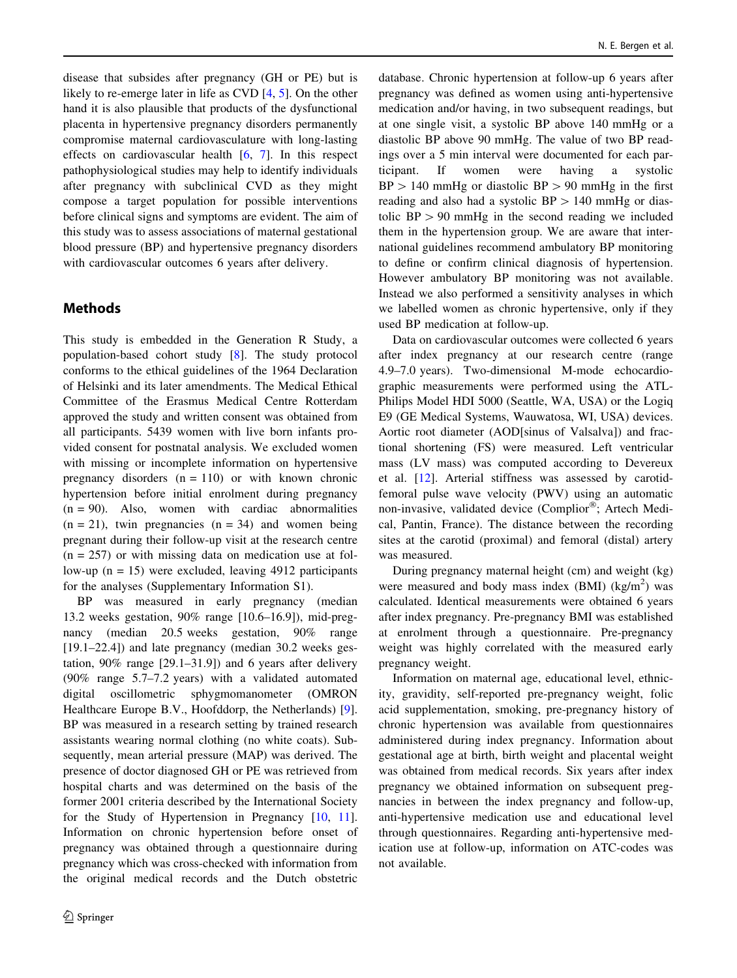disease that subsides after pregnancy (GH or PE) but is likely to re-emerge later in life as CVD [\[4](#page-8-0), [5](#page-8-0)]. On the other hand it is also plausible that products of the dysfunctional placenta in hypertensive pregnancy disorders permanently compromise maternal cardiovasculature with long-lasting effects on cardiovascular health [[6,](#page-8-0) [7](#page-8-0)]. In this respect pathophysiological studies may help to identify individuals after pregnancy with subclinical CVD as they might compose a target population for possible interventions before clinical signs and symptoms are evident. The aim of this study was to assess associations of maternal gestational blood pressure (BP) and hypertensive pregnancy disorders with cardiovascular outcomes 6 years after delivery.

# Methods

This study is embedded in the Generation R Study, a population-based cohort study [\[8](#page-8-0)]. The study protocol conforms to the ethical guidelines of the 1964 Declaration of Helsinki and its later amendments. The Medical Ethical Committee of the Erasmus Medical Centre Rotterdam approved the study and written consent was obtained from all participants. 5439 women with live born infants provided consent for postnatal analysis. We excluded women with missing or incomplete information on hypertensive pregnancy disorders  $(n = 110)$  or with known chronic hypertension before initial enrolment during pregnancy  $(n = 90)$ . Also, women with cardiac abnormalities  $(n = 21)$ , twin pregnancies  $(n = 34)$  and women being pregnant during their follow-up visit at the research centre  $(n = 257)$  or with missing data on medication use at follow-up  $(n = 15)$  were excluded, leaving 4912 participants for the analyses (Supplementary Information S1).

BP was measured in early pregnancy (median 13.2 weeks gestation, 90% range [10.6–16.9]), mid-pregnancy (median 20.5 weeks gestation, 90% range [19.1–22.4]) and late pregnancy (median 30.2 weeks gestation, 90% range [29.1–31.9]) and 6 years after delivery (90% range 5.7–7.2 years) with a validated automated digital oscillometric sphygmomanometer (OMRON Healthcare Europe B.V., Hoofddorp, the Netherlands) [\[9](#page-8-0)]. BP was measured in a research setting by trained research assistants wearing normal clothing (no white coats). Subsequently, mean arterial pressure (MAP) was derived. The presence of doctor diagnosed GH or PE was retrieved from hospital charts and was determined on the basis of the former 2001 criteria described by the International Society for the Study of Hypertension in Pregnancy [[10,](#page-8-0) [11](#page-8-0)]. Information on chronic hypertension before onset of pregnancy was obtained through a questionnaire during pregnancy which was cross-checked with information from the original medical records and the Dutch obstetric

database. Chronic hypertension at follow-up 6 years after pregnancy was defined as women using anti-hypertensive medication and/or having, in two subsequent readings, but at one single visit, a systolic BP above 140 mmHg or a diastolic BP above 90 mmHg. The value of two BP readings over a 5 min interval were documented for each participant. If women were having a systolic  $BP > 140$  mmHg or diastolic  $BP > 90$  mmHg in the first reading and also had a systolic  $BP > 140$  mmHg or diastolic  $BP > 90$  mmHg in the second reading we included them in the hypertension group. We are aware that international guidelines recommend ambulatory BP monitoring to define or confirm clinical diagnosis of hypertension. However ambulatory BP monitoring was not available. Instead we also performed a sensitivity analyses in which we labelled women as chronic hypertensive, only if they used BP medication at follow-up.

Data on cardiovascular outcomes were collected 6 years after index pregnancy at our research centre (range 4.9–7.0 years). Two-dimensional M-mode echocardiographic measurements were performed using the ATL-Philips Model HDI 5000 (Seattle, WA, USA) or the Logiq E9 (GE Medical Systems, Wauwatosa, WI, USA) devices. Aortic root diameter (AOD[sinus of Valsalva]) and fractional shortening (FS) were measured. Left ventricular mass (LV mass) was computed according to Devereux et al. [\[12](#page-8-0)]. Arterial stiffness was assessed by carotidfemoral pulse wave velocity (PWV) using an automatic non-invasive, validated device (Complior®; Artech Medical, Pantin, France). The distance between the recording sites at the carotid (proximal) and femoral (distal) artery was measured.

During pregnancy maternal height (cm) and weight (kg) were measured and body mass index  $(BMI)$  (kg/m<sup>2</sup>) was calculated. Identical measurements were obtained 6 years after index pregnancy. Pre-pregnancy BMI was established at enrolment through a questionnaire. Pre-pregnancy weight was highly correlated with the measured early pregnancy weight.

Information on maternal age, educational level, ethnicity, gravidity, self-reported pre-pregnancy weight, folic acid supplementation, smoking, pre-pregnancy history of chronic hypertension was available from questionnaires administered during index pregnancy. Information about gestational age at birth, birth weight and placental weight was obtained from medical records. Six years after index pregnancy we obtained information on subsequent pregnancies in between the index pregnancy and follow-up, anti-hypertensive medication use and educational level through questionnaires. Regarding anti-hypertensive medication use at follow-up, information on ATC-codes was not available.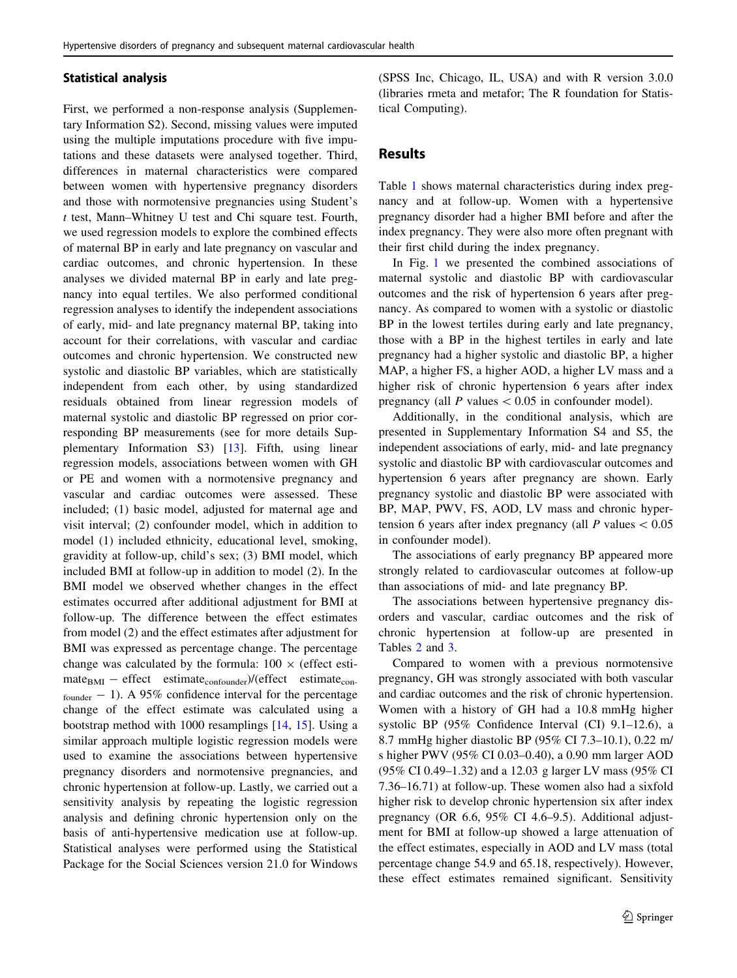#### Statistical analysis

First, we performed a non-response analysis (Supplementary Information S2). Second, missing values were imputed using the multiple imputations procedure with five imputations and these datasets were analysed together. Third, differences in maternal characteristics were compared between women with hypertensive pregnancy disorders and those with normotensive pregnancies using Student's t test, Mann–Whitney U test and Chi square test. Fourth, we used regression models to explore the combined effects of maternal BP in early and late pregnancy on vascular and cardiac outcomes, and chronic hypertension. In these analyses we divided maternal BP in early and late pregnancy into equal tertiles. We also performed conditional regression analyses to identify the independent associations of early, mid- and late pregnancy maternal BP, taking into account for their correlations, with vascular and cardiac outcomes and chronic hypertension. We constructed new systolic and diastolic BP variables, which are statistically independent from each other, by using standardized residuals obtained from linear regression models of maternal systolic and diastolic BP regressed on prior corresponding BP measurements (see for more details Supplementary Information S3) [[13](#page-8-0)]. Fifth, using linear regression models, associations between women with GH or PE and women with a normotensive pregnancy and vascular and cardiac outcomes were assessed. These included; (1) basic model, adjusted for maternal age and visit interval; (2) confounder model, which in addition to model (1) included ethnicity, educational level, smoking, gravidity at follow-up, child's sex; (3) BMI model, which included BMI at follow-up in addition to model (2). In the BMI model we observed whether changes in the effect estimates occurred after additional adjustment for BMI at follow-up. The difference between the effect estimates from model (2) and the effect estimates after adjustment for BMI was expressed as percentage change. The percentage change was calculated by the formula:  $100 \times$  (effect esti $mate<sub>BMI</sub>$  - effect estimate<sub>confounder</sub>)/(effect estimate<sub>con-</sub>  $f_{\text{counter}} - 1$ ). A 95% confidence interval for the percentage change of the effect estimate was calculated using a bootstrap method with 1000 resamplings [\[14](#page-8-0), [15\]](#page-8-0). Using a similar approach multiple logistic regression models were used to examine the associations between hypertensive pregnancy disorders and normotensive pregnancies, and chronic hypertension at follow-up. Lastly, we carried out a sensitivity analysis by repeating the logistic regression analysis and defining chronic hypertension only on the basis of anti-hypertensive medication use at follow-up. Statistical analyses were performed using the Statistical Package for the Social Sciences version 21.0 for Windows (SPSS Inc, Chicago, IL, USA) and with R version 3.0.0 (libraries rmeta and metafor; The R foundation for Statistical Computing).

# Results

Table [1](#page-3-0) shows maternal characteristics during index pregnancy and at follow-up. Women with a hypertensive pregnancy disorder had a higher BMI before and after the index pregnancy. They were also more often pregnant with their first child during the index pregnancy.

In Fig. [1](#page-4-0) we presented the combined associations of maternal systolic and diastolic BP with cardiovascular outcomes and the risk of hypertension 6 years after pregnancy. As compared to women with a systolic or diastolic BP in the lowest tertiles during early and late pregnancy, those with a BP in the highest tertiles in early and late pregnancy had a higher systolic and diastolic BP, a higher MAP, a higher FS, a higher AOD, a higher LV mass and a higher risk of chronic hypertension 6 years after index pregnancy (all  $P$  values  $\lt$  0.05 in confounder model).

Additionally, in the conditional analysis, which are presented in Supplementary Information S4 and S5, the independent associations of early, mid- and late pregnancy systolic and diastolic BP with cardiovascular outcomes and hypertension 6 years after pregnancy are shown. Early pregnancy systolic and diastolic BP were associated with BP, MAP, PWV, FS, AOD, LV mass and chronic hypertension 6 years after index pregnancy (all  $P$  values  $\lt$  0.05 in confounder model).

The associations of early pregnancy BP appeared more strongly related to cardiovascular outcomes at follow-up than associations of mid- and late pregnancy BP.

The associations between hypertensive pregnancy disorders and vascular, cardiac outcomes and the risk of chronic hypertension at follow-up are presented in Tables [2](#page-5-0) and [3](#page-6-0).

Compared to women with a previous normotensive pregnancy, GH was strongly associated with both vascular and cardiac outcomes and the risk of chronic hypertension. Women with a history of GH had a 10.8 mmHg higher systolic BP (95% Confidence Interval (CI) 9.1–12.6), a 8.7 mmHg higher diastolic BP (95% CI 7.3–10.1), 0.22 m/ s higher PWV (95% CI 0.03–0.40), a 0.90 mm larger AOD (95% CI 0.49–1.32) and a 12.03 g larger LV mass (95% CI 7.36–16.71) at follow-up. These women also had a sixfold higher risk to develop chronic hypertension six after index pregnancy (OR 6.6, 95% CI 4.6–9.5). Additional adjustment for BMI at follow-up showed a large attenuation of the effect estimates, especially in AOD and LV mass (total percentage change 54.9 and 65.18, respectively). However, these effect estimates remained significant. Sensitivity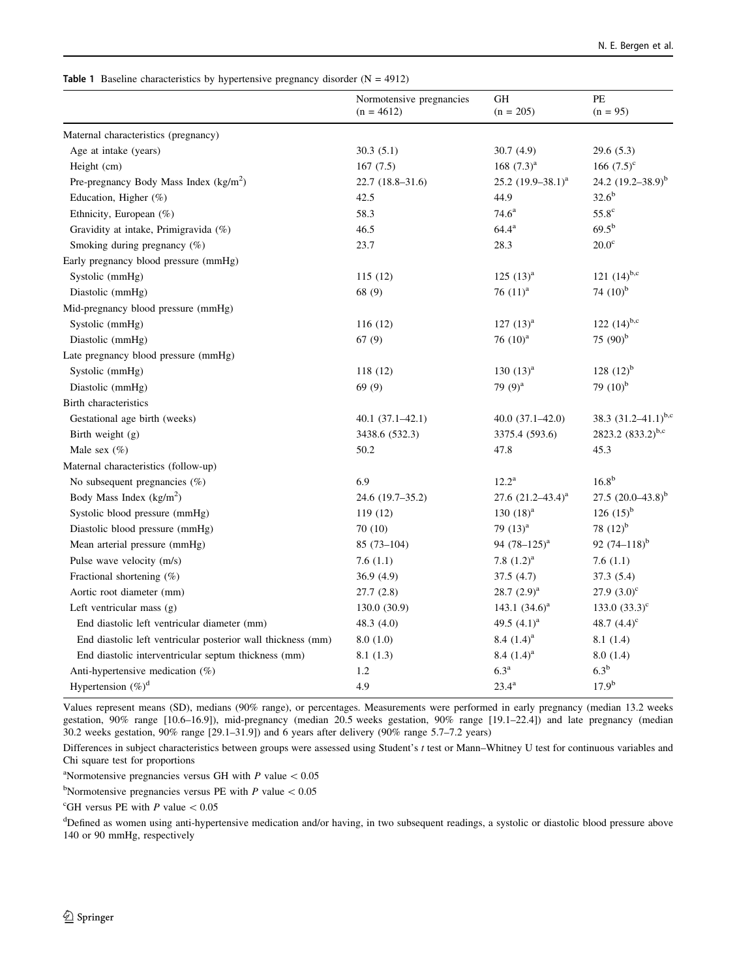|                                                              | Normotensive pregnancies<br>$(n = 4612)$ | GH<br>$(n = 205)$        | PE<br>$(n = 95)$           |
|--------------------------------------------------------------|------------------------------------------|--------------------------|----------------------------|
| Maternal characteristics (pregnancy)                         |                                          |                          |                            |
| Age at intake (years)                                        | 30.3(5.1)                                | 30.7(4.9)                | 29.6 (5.3)                 |
| Height (cm)                                                  | 167(7.5)                                 | 168 $(7.3)^a$            | 166 $(7.5)^c$              |
| Pre-pregnancy Body Mass Index ( $\text{kg/m}^2$ )            | $22.7(18.8-31.6)$                        | $25.2$ $(19.9-38.1)^a$   | 24.2 $(19.2 - 38.9)^b$     |
| Education, Higher (%)                                        | 42.5                                     | 44.9                     | $32.6^b$                   |
| Ethnicity, European (%)                                      | 58.3                                     | 74.6 <sup>a</sup>        | 55.8 <sup>c</sup>          |
| Gravidity at intake, Primigravida (%)                        | 46.5                                     | $64.4^{\rm a}$           | $69.5^{b}$                 |
| Smoking during pregnancy $(\%)$                              | 23.7                                     | 28.3                     | $20.0^\circ$               |
| Early pregnancy blood pressure (mmHg)                        |                                          |                          |                            |
| Systolic (mmHg)                                              | 115(12)                                  | $125 (13)^{a}$           | 121 $(14)^{b,c}$           |
| Diastolic (mmHg)                                             | 68 (9)                                   | 76 $(11)^a$              | 74 $(10)^{b}$              |
| Mid-pregnancy blood pressure (mmHg)                          |                                          |                          |                            |
| Systolic (mmHg)                                              | 116(12)                                  | $127 (13)^{a}$           | 122 $(14)^{b,c}$           |
| Diastolic (mmHg)                                             | 67(9)                                    | 76 $(10)^a$              | 75 $(90)^{b}$              |
| Late pregnancy blood pressure (mmHg)                         |                                          |                          |                            |
| Systolic (mmHg)                                              | 118(12)                                  | $130(13)^{a}$            | 128 $(12)^{b}$             |
| Diastolic (mmHg)                                             | 69(9)                                    | 79 $(9)^{a}$             | 79 $(10)^{b}$              |
| <b>Birth characteristics</b>                                 |                                          |                          |                            |
| Gestational age birth (weeks)                                | $40.1(37.1-42.1)$                        | $40.0(37.1 - 42.0)$      | 38.3 $(31.2 - 41.1)^{b,c}$ |
| Birth weight (g)                                             | 3438.6 (532.3)                           | 3375.4 (593.6)           | 2823.2 $(833.2)^{b,c}$     |
| Male sex $(\%)$                                              | 50.2                                     | 47.8                     | 45.3                       |
| Maternal characteristics (follow-up)                         |                                          |                          |                            |
| No subsequent pregnancies (%)                                | 6.9                                      | $12.2^{\rm a}$           | $16.8^{b}$                 |
| Body Mass Index $(kg/m2)$                                    | 24.6 (19.7-35.2)                         | $27.6$ $(21.2 - 43.4)^a$ | 27.5 $(20.0-43.8)^{b}$     |
| Systolic blood pressure (mmHg)                               | 119(12)                                  | 130 $(18)^a$             | 126 $(15)^{b}$             |
| Diastolic blood pressure (mmHg)                              | 70(10)                                   | 79 $(13)^a$              | 78 $(12)^{b}$              |
| Mean arterial pressure (mmHg)                                | $85(73-104)$                             | 94 $(78-125)^a$          | 92 $(74-118)^{b}$          |
| Pulse wave velocity (m/s)                                    | 7.6(1.1)                                 | 7.8 $(1.2)^a$            | 7.6(1.1)                   |
| Fractional shortening $(\%)$                                 | 36.9(4.9)                                | 37.5(4.7)                | 37.3 (5.4)                 |
| Aortic root diameter (mm)                                    | 27.7(2.8)                                | 28.7 $(2.9)^a$           | $27.9(3.0)^{\circ}$        |
| Left ventricular mass $(g)$                                  | 130.0(30.9)                              | 143.1 $(34.6)^a$         | $133.0 (33.3)^{\circ}$     |
| End diastolic left ventricular diameter (mm)                 | 48.3 (4.0)                               | 49.5 $(4.1)^a$           | 48.7 $(4.4)^c$             |
| End diastolic left ventricular posterior wall thickness (mm) | 8.0(1.0)                                 | 8.4 $(1.4)^a$            | 8.1(1.4)                   |
| End diastolic interventricular septum thickness (mm)         | 8.1(1.3)                                 | 8.4 $(1.4)^a$            | 8.0(1.4)                   |
| Anti-hypertensive medication (%)                             | $1.2\,$                                  | $6.3^{\mathrm{a}}$       | $6.3^b$                    |
| Hypertension $(\%)^d$                                        | 4.9                                      | $23.4^{a}$               | $17.9^{b}$                 |

<span id="page-3-0"></span>Table 1 Baseline characteristics by hypertensive pregnancy disorder  $(N = 4912)$ 

Values represent means (SD), medians (90% range), or percentages. Measurements were performed in early pregnancy (median 13.2 weeks gestation, 90% range [10.6–16.9]), mid-pregnancy (median 20.5 weeks gestation, 90% range [19.1–22.4]) and late pregnancy (median 30.2 weeks gestation, 90% range [29.1–31.9]) and 6 years after delivery (90% range 5.7–7.2 years)

Differences in subject characteristics between groups were assessed using Student's t test or Mann–Whitney U test for continuous variables and Chi square test for proportions

<sup>a</sup>Normotensive pregnancies versus GH with P value  $< 0.05$ 

<sup>b</sup>Normotensive pregnancies versus PE with P value  $< 0.05$ 

<sup>c</sup>GH versus PE with *P* value  $< 0.05$ 

<sup>d</sup>Defined as women using anti-hypertensive medication and/or having, in two subsequent readings, a systolic or diastolic blood pressure above 140 or 90 mmHg, respectively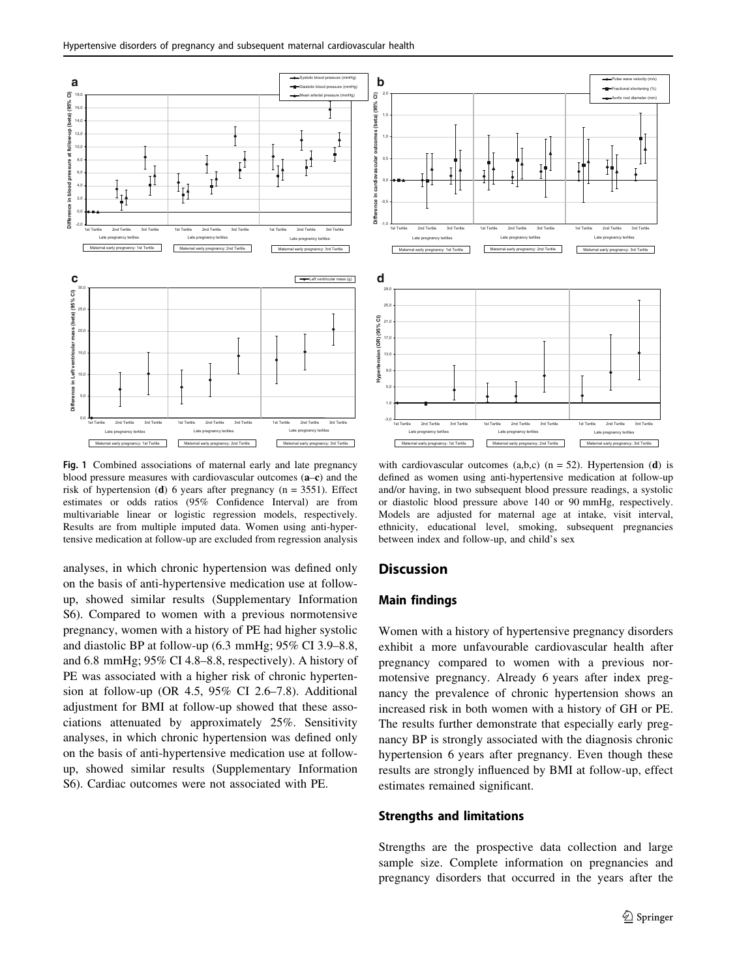<span id="page-4-0"></span>

Fig. 1 Combined associations of maternal early and late pregnancy blood pressure measures with cardiovascular outcomes (a–c) and the risk of hypertension (d) 6 years after pregnancy ( $n = 3551$ ). Effect estimates or odds ratios (95% Confidence Interval) are from multivariable linear or logistic regression models, respectively. Results are from multiple imputed data. Women using anti-hypertensive medication at follow-up are excluded from regression analysis

analyses, in which chronic hypertension was defined only on the basis of anti-hypertensive medication use at followup, showed similar results (Supplementary Information S6). Compared to women with a previous normotensive pregnancy, women with a history of PE had higher systolic and diastolic BP at follow-up (6.3 mmHg; 95% CI 3.9–8.8, and 6.8 mmHg; 95% CI 4.8–8.8, respectively). A history of PE was associated with a higher risk of chronic hypertension at follow-up (OR 4.5, 95% CI 2.6–7.8). Additional adjustment for BMI at follow-up showed that these associations attenuated by approximately 25%. Sensitivity analyses, in which chronic hypertension was defined only on the basis of anti-hypertensive medication use at followup, showed similar results (Supplementary Information S6). Cardiac outcomes were not associated with PE.

with cardiovascular outcomes  $(a,b,c)$  (n = 52). Hypertension (d) is defined as women using anti-hypertensive medication at follow-up and/or having, in two subsequent blood pressure readings, a systolic or diastolic blood pressure above 140 or 90 mmHg, respectively. Models are adjusted for maternal age at intake, visit interval, ethnicity, educational level, smoking, subsequent pregnancies between index and follow-up, and child's sex

# **Discussion**

### Main findings

Women with a history of hypertensive pregnancy disorders exhibit a more unfavourable cardiovascular health after pregnancy compared to women with a previous normotensive pregnancy. Already 6 years after index pregnancy the prevalence of chronic hypertension shows an increased risk in both women with a history of GH or PE. The results further demonstrate that especially early pregnancy BP is strongly associated with the diagnosis chronic hypertension 6 years after pregnancy. Even though these results are strongly influenced by BMI at follow-up, effect estimates remained significant.

#### Strengths and limitations

Strengths are the prospective data collection and large sample size. Complete information on pregnancies and pregnancy disorders that occurred in the years after the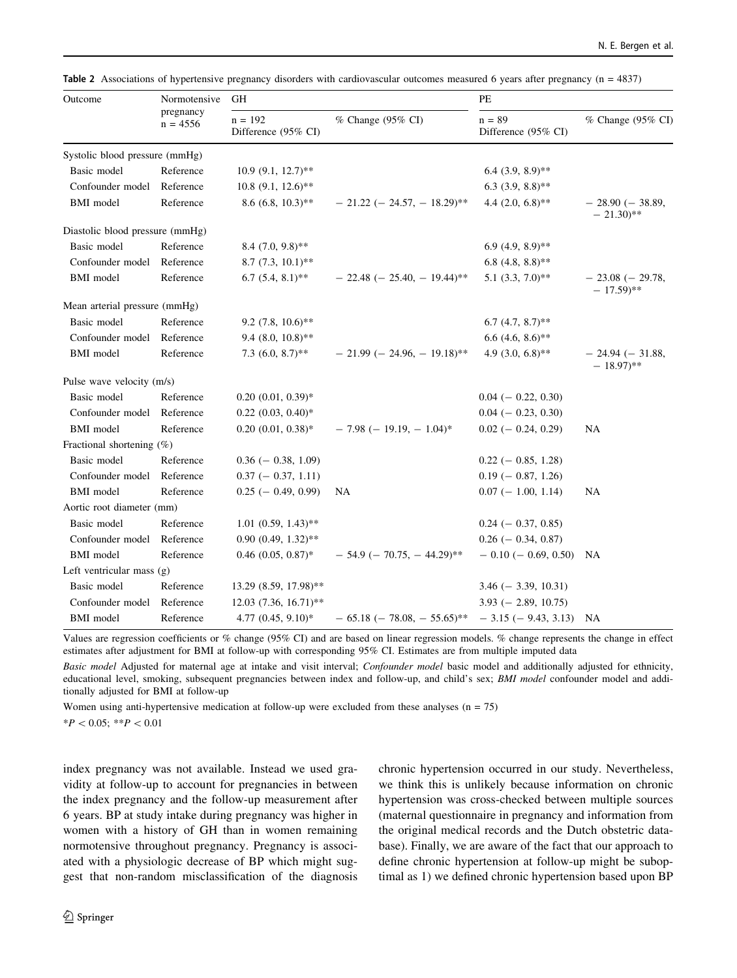| Outcome                         | Normotensive            | <b>GH</b>                        |                                                 | PE                              |                                                 |  |
|---------------------------------|-------------------------|----------------------------------|-------------------------------------------------|---------------------------------|-------------------------------------------------|--|
|                                 | pregnancy<br>$n = 4556$ | $n = 192$<br>Difference (95% CI) | % Change (95% CI)                               | $n = 89$<br>Difference (95% CI) | % Change (95% CI)                               |  |
| Systolic blood pressure (mmHg)  |                         |                                  |                                                 |                                 |                                                 |  |
| Basic model                     | Reference               | $10.9(9.1, 12.7)$ **             |                                                 | $6.4(3.9, 8.9)$ **              |                                                 |  |
| Confounder model                | Reference               | $10.8$ (9.1, 12.6)**             |                                                 | $6.3(3.9, 8.8)$ **              |                                                 |  |
| <b>BMI</b> model                | Reference               | $8.6(6.8, 10.3)$ **              | $-21.22$ (-24.57, -18.29)**                     | 4.4 $(2.0, 6.8)$ **             | $-28.90(-38.89,$<br>$-21.30$ <sup>**</sup>      |  |
| Diastolic blood pressure (mmHg) |                         |                                  |                                                 |                                 |                                                 |  |
| Basic model                     | Reference               | 8.4 $(7.0, 9.8)$ **              |                                                 | 6.9 (4.9, 8.9)**                |                                                 |  |
| Confounder model                | Reference               | $8.7(7.3, 10.1)$ **              |                                                 | 6.8 $(4.8, 8.8)$ **             |                                                 |  |
| <b>BMI</b> model                | Reference               | $6.7(5.4, 8.1)$ **               | $-22.48$ ( $-25.40$ , $-19.44$ )**              | $5.1 (3.3, 7.0)$ **             | $-23.08$ ( $-29.78$ )<br>$-17.59$ <sup>**</sup> |  |
| Mean arterial pressure (mmHg)   |                         |                                  |                                                 |                                 |                                                 |  |
| Basic model                     | Reference               | 9.2 (7.8, 10.6)**                |                                                 | $6.7$ (4.7, 8.7)**              |                                                 |  |
| Confounder model                | Reference               | $9.4(8.0, 10.8)$ **              |                                                 | $6.6$ (4.6, 8.6)**              |                                                 |  |
| <b>BMI</b> model                | Reference               | $7.3(6.0, 8.7)$ **               | $-21.99$ ( $-24.96$ , $-19.18$ )**              | 4.9 (3.0, 6.8)**                | $-24.94(-31.88,$<br>$-18.97$ <sup>**</sup>      |  |
| Pulse wave velocity (m/s)       |                         |                                  |                                                 |                                 |                                                 |  |
| Basic model                     | Reference               | $0.20$ $(0.01, 0.39)$ *          |                                                 | $0.04$ (- 0.22, 0.30)           |                                                 |  |
| Confounder model                | Reference               | $0.22$ $(0.03, 0.40)$ *          |                                                 | $0.04$ (- 0.23, 0.30)           |                                                 |  |
| <b>BMI</b> model                | Reference               | $0.20(0.01, 0.38)$ *             | $-7.98$ (-19.19, -1.04)*                        | $0.02$ (- 0.24, 0.29)           | <b>NA</b>                                       |  |
| Fractional shortening (%)       |                         |                                  |                                                 |                                 |                                                 |  |
| Basic model                     | Reference               | $0.36$ (- 0.38, 1.09)            |                                                 | $0.22$ (- 0.85, 1.28)           |                                                 |  |
| Confounder model                | Reference               | $0.37 (-0.37, 1.11)$             |                                                 | $0.19$ (- 0.87, 1.26)           |                                                 |  |
| <b>BMI</b> model                | Reference               | $0.25$ (- 0.49, 0.99)            | NA                                              | $0.07$ (-1.00, 1.14)            | <b>NA</b>                                       |  |
| Aortic root diameter (mm)       |                         |                                  |                                                 |                                 |                                                 |  |
| Basic model                     | Reference               | $1.01$ $(0.59, 1.43)$ **         |                                                 | $0.24 (-0.37, 0.85)$            |                                                 |  |
| Confounder model                | Reference               | $0.90(0.49, 1.32)$ **            |                                                 | $0.26$ (- 0.34, 0.87)           |                                                 |  |
| <b>BMI</b> model                | Reference               | $0.46$ $(0.05, 0.87)$ *          | $-54.9$ ( $-70.75$ , $-44.29$ )**               | $-0.10$ ( $-0.69, 0.50$ )       | <b>NA</b>                                       |  |
| Left ventricular mass (g)       |                         |                                  |                                                 |                                 |                                                 |  |
| Basic model                     | Reference               | 13.29 (8.59, 17.98)**            |                                                 | $3.46$ (- 3.39, 10.31)          |                                                 |  |
| Confounder model                | Reference               | $12.03$ (7.36, 16.71)**          |                                                 | $3.93 (- 2.89, 10.75)$          |                                                 |  |
| <b>BMI</b> model                | Reference               | 4.77 $(0.45, 9.10)^*$            | $-65.18$ (-78.08, -55.65)** -3.15 (-9.43, 3.13) |                                 | <b>NA</b>                                       |  |

<span id="page-5-0"></span>Table 2 Associations of hypertensive pregnancy disorders with cardiovascular outcomes measured 6 years after pregnancy (n = 4837)

Values are regression coefficients or % change (95% CI) and are based on linear regression models. % change represents the change in effect estimates after adjustment for BMI at follow-up with corresponding 95% CI. Estimates are from multiple imputed data

Basic model Adjusted for maternal age at intake and visit interval; Confounder model basic model and additionally adjusted for ethnicity, educational level, smoking, subsequent pregnancies between index and follow-up, and child's sex; BMI model confounder model and additionally adjusted for BMI at follow-up

Women using anti-hypertensive medication at follow-up were excluded from these analyses  $(n = 75)$ 

 $*P < 0.05; **P < 0.01$ 

index pregnancy was not available. Instead we used gravidity at follow-up to account for pregnancies in between the index pregnancy and the follow-up measurement after 6 years. BP at study intake during pregnancy was higher in women with a history of GH than in women remaining normotensive throughout pregnancy. Pregnancy is associated with a physiologic decrease of BP which might suggest that non-random misclassification of the diagnosis chronic hypertension occurred in our study. Nevertheless, we think this is unlikely because information on chronic hypertension was cross-checked between multiple sources (maternal questionnaire in pregnancy and information from the original medical records and the Dutch obstetric database). Finally, we are aware of the fact that our approach to define chronic hypertension at follow-up might be suboptimal as 1) we defined chronic hypertension based upon BP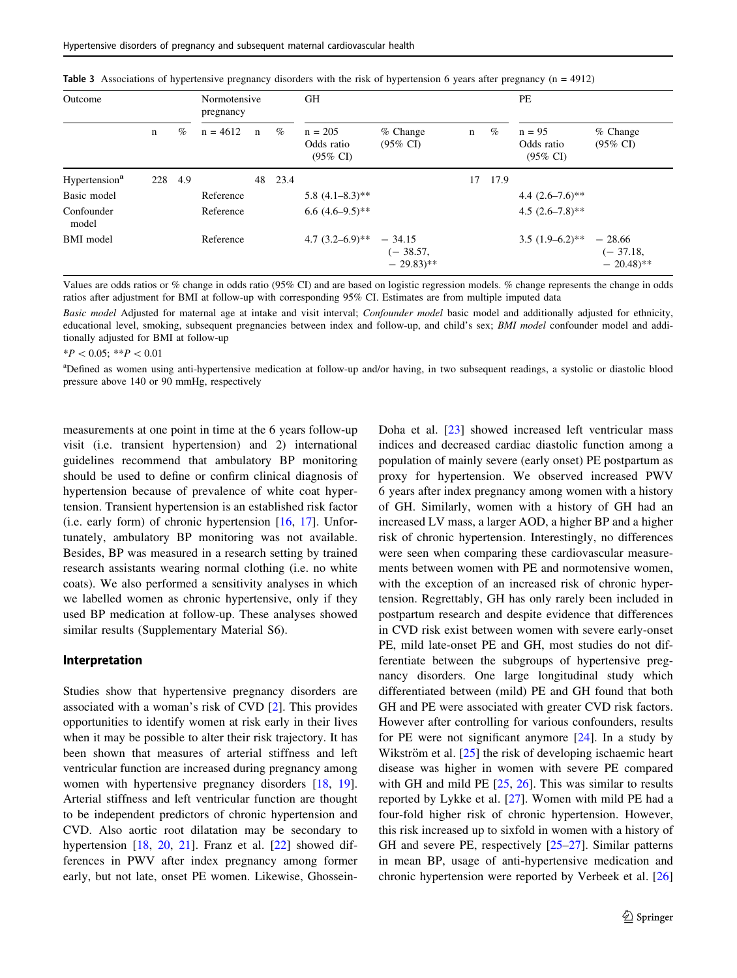| Outcome                   |             | Normotensive<br>pregnancy |            |    | <b>GH</b> |                                                |                                      | PE |      |                                               |                                      |
|---------------------------|-------------|---------------------------|------------|----|-----------|------------------------------------------------|--------------------------------------|----|------|-----------------------------------------------|--------------------------------------|
|                           | $\mathbf n$ | $\%$                      | $n = 4612$ | n  | $\%$      | $n = 205$<br>Odds ratio<br>$(95\% \text{ CI})$ | $%$ Change<br>$(95\% \text{ CI})$    | n  | $\%$ | $n = 95$<br>Odds ratio<br>$(95\% \text{ CI})$ | $%$ Change<br>$(95\% \text{ CI})$    |
| Hypertension <sup>a</sup> | 228         | 4.9                       |            | 48 | 23.4      |                                                |                                      | 17 | 17.9 |                                               |                                      |
| Basic model               |             |                           | Reference  |    |           | 5.8 $(4.1-8.3)$ **                             |                                      |    |      | 4.4 $(2.6 - 7.6)$ **                          |                                      |
| Confounder<br>model       |             |                           | Reference  |    |           | $6.6 (4.6 - 9.5)$ **                           |                                      |    |      | 4.5 $(2.6 - 7.8)$ **                          |                                      |
| <b>BMI</b> model          |             |                           | Reference  |    |           | $4.7(3.2-6.9)$ ** $-34.15$                     | $(-38.57,$<br>$-29.83$ <sup>**</sup> |    |      | $3.5 (1.9-6.2)$ <sup>**</sup> $- 28.66$       | $(-37.18,$<br>$-20.48$ <sup>**</sup> |

<span id="page-6-0"></span>

|  |  |  |  | Table 3 Associations of hypertensive pregnancy disorders with the risk of hypertension 6 years after pregnancy ( $n = 4912$ ) |  |  |
|--|--|--|--|-------------------------------------------------------------------------------------------------------------------------------|--|--|
|--|--|--|--|-------------------------------------------------------------------------------------------------------------------------------|--|--|

Values are odds ratios or % change in odds ratio (95% CI) and are based on logistic regression models. % change represents the change in odds ratios after adjustment for BMI at follow-up with corresponding 95% CI. Estimates are from multiple imputed data

Basic model Adjusted for maternal age at intake and visit interval; Confounder model basic model and additionally adjusted for ethnicity, educational level, smoking, subsequent pregnancies between index and follow-up, and child's sex; BMI model confounder model and additionally adjusted for BMI at follow-up

 $*P < 0.05;$   $**P < 0.01$ 

<sup>a</sup>Defined as women using anti-hypertensive medication at follow-up and/or having, in two subsequent readings, a systolic or diastolic blood pressure above 140 or 90 mmHg, respectively

measurements at one point in time at the 6 years follow-up visit (i.e. transient hypertension) and 2) international guidelines recommend that ambulatory BP monitoring should be used to define or confirm clinical diagnosis of hypertension because of prevalence of white coat hypertension. Transient hypertension is an established risk factor (i.e. early form) of chronic hypertension  $[16, 17]$  $[16, 17]$  $[16, 17]$  $[16, 17]$ . Unfortunately, ambulatory BP monitoring was not available. Besides, BP was measured in a research setting by trained research assistants wearing normal clothing (i.e. no white coats). We also performed a sensitivity analyses in which we labelled women as chronic hypertensive, only if they used BP medication at follow-up. These analyses showed similar results (Supplementary Material S6).

#### Interpretation

Studies show that hypertensive pregnancy disorders are associated with a woman's risk of CVD [[2](#page-8-0)]. This provides opportunities to identify women at risk early in their lives when it may be possible to alter their risk trajectory. It has been shown that measures of arterial stiffness and left ventricular function are increased during pregnancy among women with hypertensive pregnancy disorders [[18,](#page-8-0) [19](#page-8-0)]. Arterial stiffness and left ventricular function are thought to be independent predictors of chronic hypertension and CVD. Also aortic root dilatation may be secondary to hypertension [[18,](#page-8-0) [20,](#page-8-0) [21\]](#page-8-0). Franz et al. [[22\]](#page-8-0) showed differences in PWV after index pregnancy among former early, but not late, onset PE women. Likewise, GhosseinDoha et al. [\[23](#page-8-0)] showed increased left ventricular mass indices and decreased cardiac diastolic function among a population of mainly severe (early onset) PE postpartum as proxy for hypertension. We observed increased PWV 6 years after index pregnancy among women with a history of GH. Similarly, women with a history of GH had an increased LV mass, a larger AOD, a higher BP and a higher risk of chronic hypertension. Interestingly, no differences were seen when comparing these cardiovascular measurements between women with PE and normotensive women, with the exception of an increased risk of chronic hypertension. Regrettably, GH has only rarely been included in postpartum research and despite evidence that differences in CVD risk exist between women with severe early-onset PE, mild late-onset PE and GH, most studies do not differentiate between the subgroups of hypertensive pregnancy disorders. One large longitudinal study which differentiated between (mild) PE and GH found that both GH and PE were associated with greater CVD risk factors. However after controlling for various confounders, results for PE were not significant anymore [\[24](#page-8-0)]. In a study by Wikström et al.  $[25]$  $[25]$  the risk of developing ischaemic heart disease was higher in women with severe PE compared with GH and mild PE [[25,](#page-8-0) [26\]](#page-8-0). This was similar to results reported by Lykke et al. [\[27](#page-8-0)]. Women with mild PE had a four-fold higher risk of chronic hypertension. However, this risk increased up to sixfold in women with a history of GH and severe PE, respectively [[25–27\]](#page-8-0). Similar patterns in mean BP, usage of anti-hypertensive medication and chronic hypertension were reported by Verbeek et al. [[26\]](#page-8-0)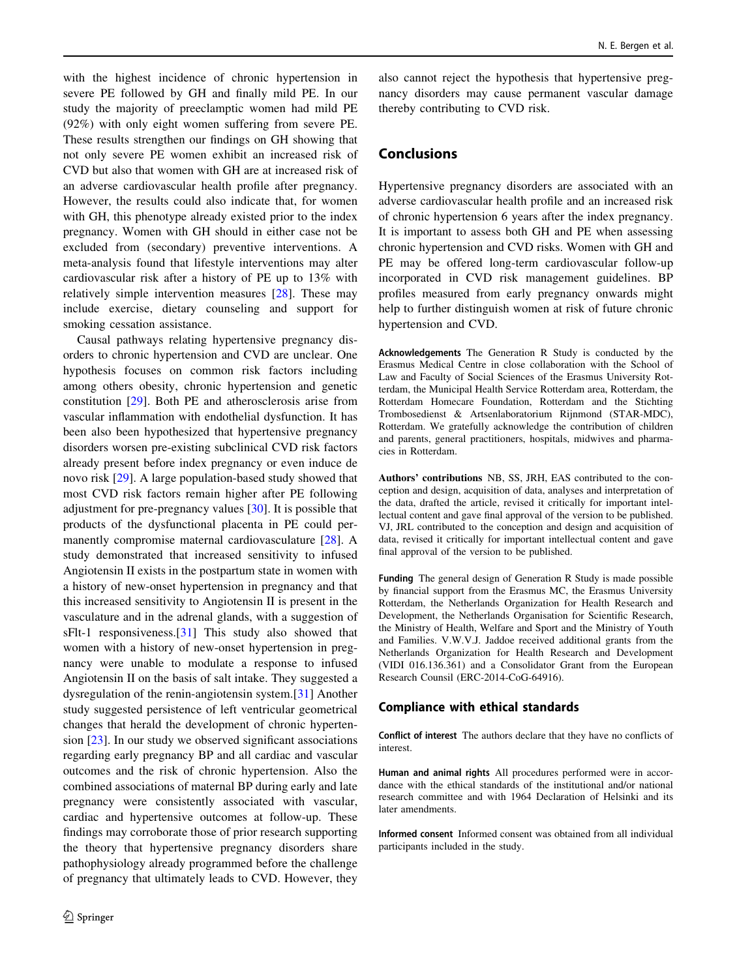with the highest incidence of chronic hypertension in severe PE followed by GH and finally mild PE. In our study the majority of preeclamptic women had mild PE (92%) with only eight women suffering from severe PE. These results strengthen our findings on GH showing that not only severe PE women exhibit an increased risk of CVD but also that women with GH are at increased risk of an adverse cardiovascular health profile after pregnancy. However, the results could also indicate that, for women with GH, this phenotype already existed prior to the index pregnancy. Women with GH should in either case not be excluded from (secondary) preventive interventions. A meta-analysis found that lifestyle interventions may alter cardiovascular risk after a history of PE up to 13% with relatively simple intervention measures [[28](#page-8-0)]. These may include exercise, dietary counseling and support for smoking cessation assistance.

Causal pathways relating hypertensive pregnancy disorders to chronic hypertension and CVD are unclear. One hypothesis focuses on common risk factors including among others obesity, chronic hypertension and genetic constitution [[29\]](#page-8-0). Both PE and atherosclerosis arise from vascular inflammation with endothelial dysfunction. It has been also been hypothesized that hypertensive pregnancy disorders worsen pre-existing subclinical CVD risk factors already present before index pregnancy or even induce de novo risk [\[29](#page-8-0)]. A large population-based study showed that most CVD risk factors remain higher after PE following adjustment for pre-pregnancy values [\[30\]](#page-8-0). It is possible that products of the dysfunctional placenta in PE could permanently compromise maternal cardiovasculature [\[28](#page-8-0)]. A study demonstrated that increased sensitivity to infused Angiotensin II exists in the postpartum state in women with a history of new-onset hypertension in pregnancy and that this increased sensitivity to Angiotensin II is present in the vasculature and in the adrenal glands, with a suggestion of sFlt-1 responsiveness.[[31\]](#page-8-0) This study also showed that women with a history of new-onset hypertension in pregnancy were unable to modulate a response to infused Angiotensin II on the basis of salt intake. They suggested a dysregulation of the renin-angiotensin system.[\[31](#page-8-0)] Another study suggested persistence of left ventricular geometrical changes that herald the development of chronic hypertension [[23\]](#page-8-0). In our study we observed significant associations regarding early pregnancy BP and all cardiac and vascular outcomes and the risk of chronic hypertension. Also the combined associations of maternal BP during early and late pregnancy were consistently associated with vascular, cardiac and hypertensive outcomes at follow-up. These findings may corroborate those of prior research supporting the theory that hypertensive pregnancy disorders share pathophysiology already programmed before the challenge of pregnancy that ultimately leads to CVD. However, they

also cannot reject the hypothesis that hypertensive pregnancy disorders may cause permanent vascular damage thereby contributing to CVD risk.

# Conclusions

Hypertensive pregnancy disorders are associated with an adverse cardiovascular health profile and an increased risk of chronic hypertension 6 years after the index pregnancy. It is important to assess both GH and PE when assessing chronic hypertension and CVD risks. Women with GH and PE may be offered long-term cardiovascular follow-up incorporated in CVD risk management guidelines. BP profiles measured from early pregnancy onwards might help to further distinguish women at risk of future chronic hypertension and CVD.

Acknowledgements The Generation R Study is conducted by the Erasmus Medical Centre in close collaboration with the School of Law and Faculty of Social Sciences of the Erasmus University Rotterdam, the Municipal Health Service Rotterdam area, Rotterdam, the Rotterdam Homecare Foundation, Rotterdam and the Stichting Trombosedienst & Artsenlaboratorium Rijnmond (STAR-MDC), Rotterdam. We gratefully acknowledge the contribution of children and parents, general practitioners, hospitals, midwives and pharmacies in Rotterdam.

Authors' contributions NB, SS, JRH, EAS contributed to the conception and design, acquisition of data, analyses and interpretation of the data, drafted the article, revised it critically for important intellectual content and gave final approval of the version to be published. VJ, JRL contributed to the conception and design and acquisition of data, revised it critically for important intellectual content and gave final approval of the version to be published.

Funding The general design of Generation R Study is made possible by financial support from the Erasmus MC, the Erasmus University Rotterdam, the Netherlands Organization for Health Research and Development, the Netherlands Organisation for Scientific Research, the Ministry of Health, Welfare and Sport and the Ministry of Youth and Families. V.W.V.J. Jaddoe received additional grants from the Netherlands Organization for Health Research and Development (VIDI 016.136.361) and a Consolidator Grant from the European Research Counsil (ERC-2014-CoG-64916).

#### Compliance with ethical standards

Conflict of interest The authors declare that they have no conflicts of interest.

Human and animal rights All procedures performed were in accordance with the ethical standards of the institutional and/or national research committee and with 1964 Declaration of Helsinki and its later amendments.

Informed consent Informed consent was obtained from all individual participants included in the study.